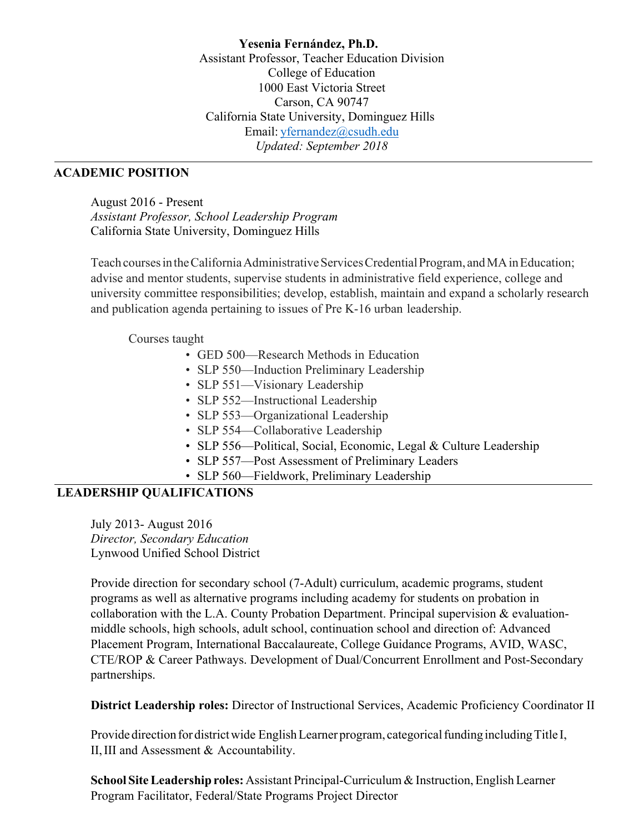**Yesenia Fernández, Ph.D.** Assistant Professor, Teacher Education Division College of Education 1000 East Victoria Street Carson, CA 90747 California State University, Dominguez Hills Email: yfernandez@csudh.edu *Updated: September 2018*

#### **ACADEMIC POSITION**

August 2016 - Present *Assistant Professor, School Leadership Program* California State University, Dominguez Hills

Teach courses in the California Administrative Services Credential Program, and MA in Education; advise and mentor students, supervise students in administrative field experience, college and university committee responsibilities; develop, establish, maintain and expand a scholarly research and publication agenda pertaining to issues of Pre K-16 urban leadership.

#### Courses taught

- GED 500—Research Methods in Education
- SLP 550—Induction Preliminary Leadership
- SLP 551—Visionary Leadership
- SLP 552—Instructional Leadership
- SLP 553—Organizational Leadership
- SLP 554—Collaborative Leadership
- SLP 556—Political, Social, Economic, Legal & Culture Leadership
- SLP 557—Post Assessment of Preliminary Leaders
- SLP 560—Fieldwork, Preliminary Leadership

#### **LEADERSHIP QUALIFICATIONS**

July 2013- August 2016 *Director, Secondary Education* Lynwood Unified School District

Provide direction for secondary school (7-Adult) curriculum, academic programs, student programs as well as alternative programs including academy for students on probation in collaboration with the L.A. County Probation Department. Principal supervision & evaluationmiddle schools, high schools, adult school, continuation school and direction of: Advanced Placement Program, International Baccalaureate, College Guidance Programs, AVID, WASC, CTE/ROP & Career Pathways. Development of Dual/Concurrent Enrollment and Post-Secondary partnerships.

**District Leadership roles:** Director of Instructional Services, Academic Proficiency Coordinator II

Provide direction for district wide English Learner program, categorical funding including Title I, II,III and Assessment & Accountability.

**School SiteLeadership roles:** Assistant Principal-Curriculum & Instruction, English Learner Program Facilitator, Federal/State Programs Project Director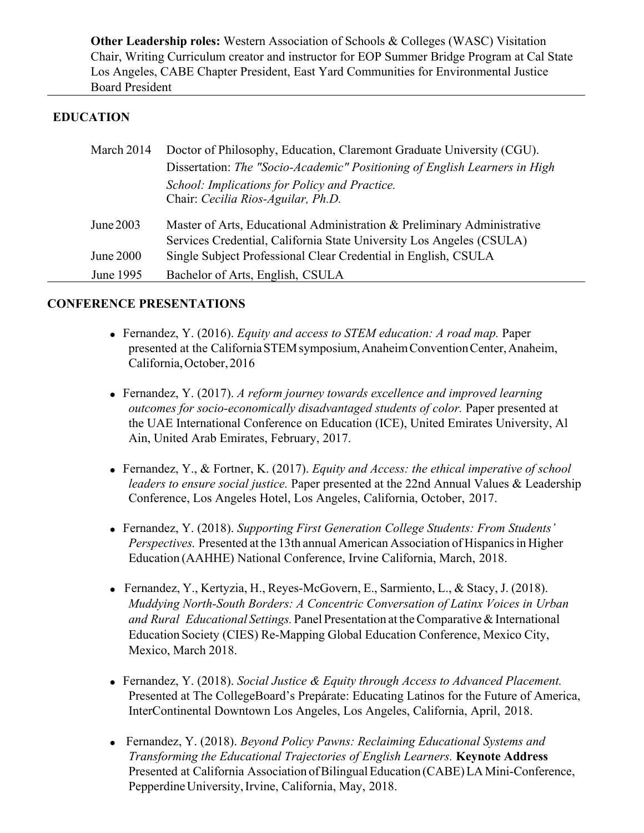**Other Leadership roles:** Western Association of Schools & Colleges (WASC) Visitation Chair, Writing Curriculum creator and instructor for EOP Summer Bridge Program at Cal State Los Angeles, CABE Chapter President, East Yard Communities for Environmental Justice Board President

## **EDUCATION**

| March 2014 | Doctor of Philosophy, Education, Claremont Graduate University (CGU).      |
|------------|----------------------------------------------------------------------------|
|            | Dissertation: The "Socio-Academic" Positioning of English Learners in High |
|            | School: Implications for Policy and Practice.                              |
|            | Chair: Cecilia Rios-Aguilar, Ph.D.                                         |
| June 2003  | Master of Arts, Educational Administration & Preliminary Administrative    |
|            | Services Credential, California State University Los Angeles (CSULA)       |
| June 2000  | Single Subject Professional Clear Credential in English, CSULA             |
| June 1995  | Bachelor of Arts, English, CSULA                                           |

### **CONFERENCE PRESENTATIONS**

- Fernandez, Y. (2016). *Equity and access to STEM education: A road map.* Paper presented at the California STEM symposium, Anaheim Convention Center, Anaheim, California,October,2016
- Fernandez, Y. (2017). *A reform journey towards excellence and improved learning outcomes for socio-economically disadvantaged students of color.* Paper presented at the UAE International Conference on Education (ICE), United Emirates University, Al Ain, United Arab Emirates, February, 2017.
- Fernandez, Y., & Fortner, K. (2017). *Equity and Access: the ethical imperative of school leaders to ensure social justice.* Paper presented at the 22nd Annual Values & Leadership Conference, Los Angeles Hotel, Los Angeles, California, October, 2017.
- Fernandez, Y. (2018). *Supporting First Generation College Students: From Students' Perspectives.* Presented at the 13th annual American Association of Hispanics in Higher Education (AAHHE) National Conference, Irvine California, March, 2018.
- Fernandez, Y., Kertyzia, H., Reyes-McGovern, E., Sarmiento, L., & Stacy, J. (2018). *Muddying North-South Borders: A Concentric Conversation of Latinx Voices in Urban and Rural Educational Settings.* Panel Presentation at theComparative &International Education Society (CIES) Re-Mapping Global Education Conference, Mexico City, Mexico, March 2018.
- Fernandez, Y. (2018). *Social Justice & Equity through Access to Advanced Placement.*  Presented at The CollegeBoard's Prepárate: Educating Latinos for the Future of America, InterContinental Downtown Los Angeles, Los Angeles, California, April, 2018.
- Fernandez, Y. (2018). *Beyond Policy Pawns: Reclaiming Educational Systems and Transforming the Educational Trajectories of English Learners.* **Keynote Address** Presented at California Association of Bilingual Education (CABE) LA Mini-Conference, Pepperdine University, Irvine, California, May, 2018.